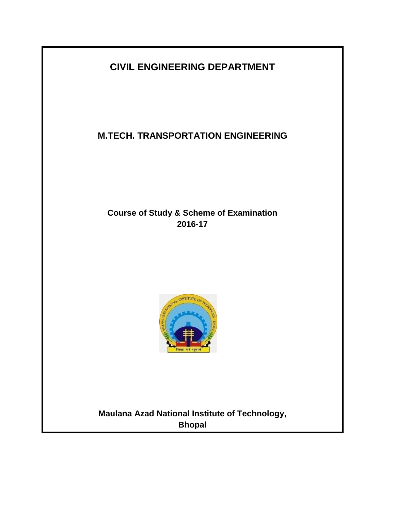# **CIVIL ENGINEERING DEPARTMENT**

## **M.TECH. TRANSPORTATION ENGINEERING**

## **Course of Study & Scheme of Examination 2016-17**



# **Maulana Azad National Institute of Technology, Bhopal**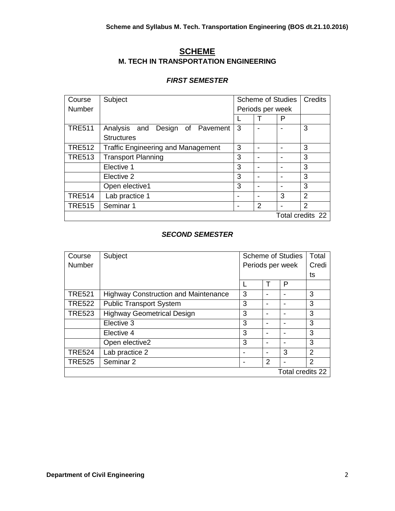## **SCHEME M. TECH IN TRANSPORTATION ENGINEERING**

#### *FIRST SEMESTER*

| Course           | Subject                                   | <b>Scheme of Studies</b> |               |   | Credits       |
|------------------|-------------------------------------------|--------------------------|---------------|---|---------------|
| <b>Number</b>    |                                           | Periods per week         |               |   |               |
|                  |                                           |                          |               | P |               |
| <b>TRE511</b>    | Analysis and<br>Design of Pavement        | 3                        |               |   | 3             |
|                  | <b>Structures</b>                         |                          |               |   |               |
| <b>TRE512</b>    | <b>Traffic Engineering and Management</b> | 3                        |               |   | 3             |
| <b>TRE513</b>    | <b>Transport Planning</b>                 | 3                        |               |   | 3             |
|                  | Elective 1                                | 3                        |               |   | 3             |
|                  | Elective 2                                | 3                        |               |   | 3             |
|                  | Open elective1                            | 3                        |               |   | 3             |
| <b>TRE514</b>    | Lab practice 1                            |                          |               | 3 | $\mathcal{P}$ |
| <b>TRE515</b>    | Seminar 1                                 |                          | $\mathcal{P}$ |   | $\mathcal{P}$ |
| Total credits 22 |                                           |                          |               |   |               |

## *SECOND SEMESTER*

| Course           | Subject                                     | <b>Scheme of Studies</b> |   |   | Total          |
|------------------|---------------------------------------------|--------------------------|---|---|----------------|
| <b>Number</b>    |                                             | Periods per week         |   |   | Credi          |
|                  |                                             |                          |   |   | ts             |
|                  |                                             |                          |   | P |                |
| <b>TRE521</b>    | <b>Highway Construction and Maintenance</b> | 3                        |   |   | 3              |
| <b>TRE522</b>    | <b>Public Transport System</b>              | 3                        |   |   | 3              |
| <b>TRE523</b>    | <b>Highway Geometrical Design</b>           | 3                        |   |   | 3              |
|                  | Elective 3                                  | 3                        |   |   | 3              |
|                  | Elective 4                                  | 3                        |   |   | 3              |
|                  | Open elective2                              | 3                        |   |   | 3              |
| <b>TRE524</b>    | Lab practice 2                              |                          |   | 3 | $\mathfrak{p}$ |
| <b>TRE525</b>    | Seminar 2                                   |                          | 2 |   | 2              |
| Total credits 22 |                                             |                          |   |   |                |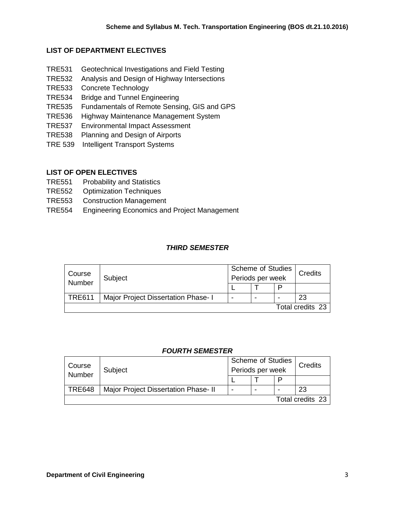## **LIST OF DEPARTMENT ELECTIVES**

- TRE531 Geotechnical Investigations and Field Testing
- TRE532 Analysis and Design of Highway Intersections
- TRE533 Concrete Technology
- TRE534 Bridge and Tunnel Engineering
- TRE535 Fundamentals of Remote Sensing, GIS and GPS
- TRE536 Highway Maintenance Management System
- TRE537 Environmental Impact Assessment
- TRE538 Planning and Design of Airports
- TRE 539 Intelligent Transport Systems

## **LIST OF OPEN ELECTIVES**

- TRE551 Probability and Statistics
- TRE552 Optimization Techniques
- TRE553 Construction Management
- TRE554 Engineering Economics and Project Management

## *THIRD SEMESTER*

| Course<br>Number | Subject                             | <b>Scheme of Studies</b><br>Periods per week |  |   | Credits          |
|------------------|-------------------------------------|----------------------------------------------|--|---|------------------|
|                  |                                     |                                              |  | P |                  |
| <b>TRE611</b>    | Major Project Dissertation Phase- I | -                                            |  |   | 23               |
|                  |                                     |                                              |  |   | Total credits 23 |

#### *FOURTH SEMESTER*

| Course<br>Number | Subject                              | <b>Scheme of Studies</b> |   |   | Credits |
|------------------|--------------------------------------|--------------------------|---|---|---------|
|                  |                                      | Periods per week         |   |   |         |
|                  |                                      |                          |   | P |         |
| <b>TRE648</b>    | Major Project Dissertation Phase- II | -                        | - | - | 23      |
| Total credits 23 |                                      |                          |   |   |         |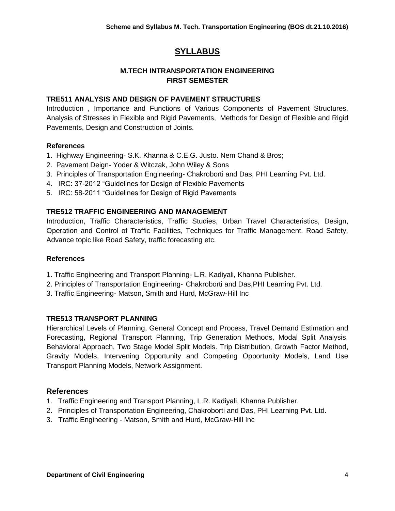## **SYLLABUS**

## **M.TECH INTRANSPORTATION ENGINEERING FIRST SEMESTER**

## **TRE511 ANALYSIS AND DESIGN OF PAVEMENT STRUCTURES**

Introduction , Importance and Functions of Various Components of Pavement Structures, Analysis of Stresses in Flexible and Rigid Pavements, Methods for Design of Flexible and Rigid Pavements, Design and Construction of Joints.

#### **References**

- 1. Highway Engineering- S.K. Khanna & C.E.G. Justo. Nem Chand & Bros;
- 2. Pavement Deign- Yoder & Witczak, John Wiley & Sons
- 3. Principles of Transportation Engineering- Chakroborti and Das, PHI Learning Pvt. Ltd.
- 4. IRC: 37-2012 "Guidelines for Design of Flexible Pavements
- 5. IRC: 58-2011 "Guidelines for Design of Rigid Pavements

## **TRE512 TRAFFIC ENGINEERING AND MANAGEMENT**

Introduction, Traffic Characteristics, Traffic Studies, Urban Travel Characteristics, Design, Operation and Control of Traffic Facilities, Techniques for Traffic Management. Road Safety. Advance topic like Road Safety, traffic forecasting etc.

#### **References**

- 1. Traffic Engineering and Transport Planning- L.R. Kadiyali, Khanna Publisher.
- 2. Principles of Transportation Engineering- Chakroborti and Das,PHI Learning Pvt. Ltd.
- 3. Traffic Engineering- Matson, Smith and Hurd, McGraw-Hill Inc

#### **TRE513 TRANSPORT PLANNING**

Hierarchical Levels of Planning, General Concept and Process, Travel Demand Estimation and Forecasting, Regional Transport Planning, Trip Generation Methods, Modal Split Analysis, Behavioral Approach, Two Stage Model Split Models. Trip Distribution, Growth Factor Method, Gravity Models, Intervening Opportunity and Competing Opportunity Models, Land Use Transport Planning Models, Network Assignment.

- 1. Traffic Engineering and Transport Planning, L.R. Kadiyali, Khanna Publisher.
- 2. Principles of Transportation Engineering, Chakroborti and Das, PHI Learning Pvt. Ltd.
- 3. Traffic Engineering Matson, Smith and Hurd, McGraw-Hill Inc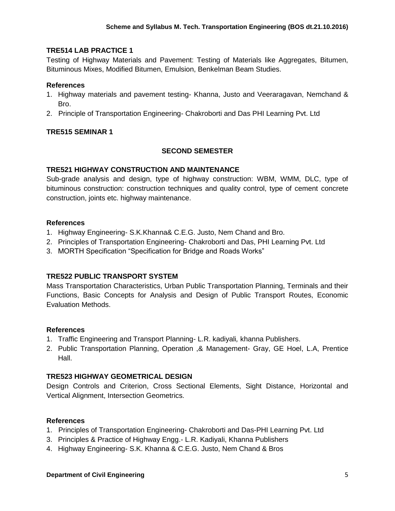## **TRE514 LAB PRACTICE 1**

Testing of Highway Materials and Pavement: Testing of Materials like Aggregates, Bitumen, Bituminous Mixes, Modified Bitumen, Emulsion, Benkelman Beam Studies.

#### **References**

- 1. Highway materials and pavement testing- Khanna, Justo and Veeraragavan, Nemchand & Bro.
- 2. Principle of Transportation Engineering- Chakroborti and Das PHI Learning Pvt. Ltd

## **TRE515 SEMINAR 1**

#### **SECOND SEMESTER**

#### **TRE521 HIGHWAY CONSTRUCTION AND MAINTENANCE**

Sub-grade analysis and design, type of highway construction: WBM, WMM, DLC, type of bituminous construction: construction techniques and quality control, type of cement concrete construction, joints etc. highway maintenance.

#### **References**

- 1. Highway Engineering- S.K.Khanna& C.E.G. Justo, Nem Chand and Bro.
- 2. Principles of Transportation Engineering- Chakroborti and Das, PHI Learning Pvt. Ltd
- 3. MORTH Specification "Specification for Bridge and Roads Works"

#### **TRE522 PUBLIC TRANSPORT SYSTEM**

Mass Transportation Characteristics, Urban Public Transportation Planning, Terminals and their Functions, Basic Concepts for Analysis and Design of Public Transport Routes, Economic Evaluation Methods.

#### **References**

- 1. Traffic Engineering and Transport Planning- L.R. kadiyali*,* khanna Publishers.
- 2. Public Transportation Planning, Operation ,& Management- Gray, GE Hoel, L.A, Prentice Hall.

### **TRE523 HIGHWAY GEOMETRICAL DESIGN**

Design Controls and Criterion, Cross Sectional Elements, Sight Distance, Horizontal and Vertical Alignment, Intersection Geometrics.

- 1. Principles of Transportation Engineering- Chakroborti and Das-PHI Learning Pvt. Ltd
- 3. Principles & Practice of Highway Engg.- L.R. Kadiyali, Khanna Publishers
- 4. Highway Engineering- S.K. Khanna & C.E.G. Justo, Nem Chand & Bros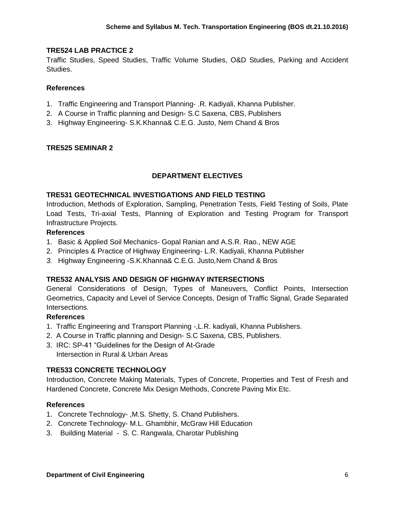## **TRE524 LAB PRACTICE 2**

Traffic Studies, Speed Studies, Traffic Volume Studies, O&D Studies, Parking and Accident Studies.

#### **References**

- 1. Traffic Engineering and Transport Planning- .R. Kadiyali, Khanna Publisher.
- 2. A Course in Traffic planning and Design- S.C Saxena, CBS, Publishers
- 3. Highway Engineering- S.K.Khanna& C.E.G. Justo, Nem Chand & Bros

#### **TRE525 SEMINAR 2**

## **DEPARTMENT ELECTIVES**

#### **TRE531 GEOTECHNICAL INVESTIGATIONS AND FIELD TESTING**

Introduction, Methods of Exploration, Sampling, Penetration Tests, Field Testing of Soils, Plate Load Tests, Tri-axial Tests, Planning of Exploration and Testing Program for Transport Infrastructure Projects.

#### **References**

- 1. Basic & Applied Soil Mechanics- Gopal Ranian and A.S.R. Rao., NEW AGE
- 2. Principles & Practice of Highway Engineering- L.R. Kadiyali, Khanna Publisher
- *3.* Highway Engineering -S.K.Khanna& C.E.G. Justo*,*Nem Chand & Bros

#### **TRE532 ANALYSIS AND DESIGN OF HIGHWAY INTERSECTIONS**

General Considerations of Design, Types of Maneuvers, Conflict Points, Intersection Geometrics, Capacity and Level of Service Concepts, Design of Traffic Signal, Grade Separated Intersections.

#### **References**

- 1. Traffic Engineering and Transport Planning -,L.R. kadiyali, Khanna Publishers.
- 2. A Course in Traffic planning and Design- S.C Saxena, CBS, Publishers.
- 3. IRC: SP-41 "Guidelines for the Design of At-Grade Intersection in Rural & Urban Areas

#### **TRE533 CONCRETE TECHNOLOGY**

Introduction, Concrete Making Materials, Types of Concrete, Properties and Test of Fresh and Hardened Concrete, Concrete Mix Design Methods, Concrete Paving Mix Etc.

- 1. Concrete Technology- ,M.S. Shetty, S. Chand Publishers.
- 2. Concrete Technology- M.L. Ghambhir, McGraw Hill Education
- 3. Building Material S. C. Rangwala, Charotar Publishing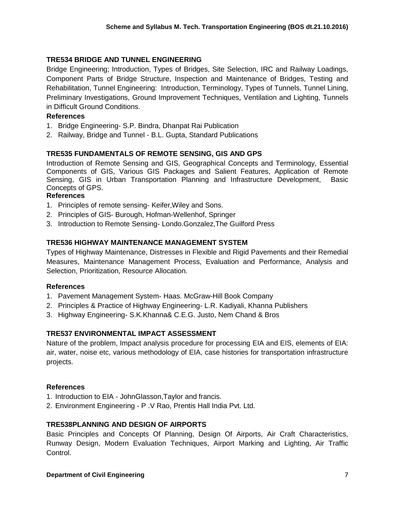## **TRE534 BRIDGE AND TUNNEL ENGINEERING**

Bridge Engineering; Introduction, Types of Bridges, Site Selection, IRC and Railway Loadings, Component Parts of Bridge Structure, Inspection and Maintenance of Bridges, Testing and Rehabilitation, Tunnel Engineering: Introduction, Terminology, Types of Tunnels, Tunnel Lining, Preliminary Investigations, Ground Improvement Techniques, Ventilation and Lighting, Tunnels in Difficult Ground Conditions.

## **References**

- 1. Bridge Engineering- S.P. Bindra, Dhanpat Rai Publication
- 2. Railway, Bridge and Tunnel B.L. Gupta, Standard Publications

## **TRE535 FUNDAMENTALS OF REMOTE SENSING, GIS AND GPS**

Introduction of Remote Sensing and GIS, Geographical Concepts and Terminology, Essential Components of GIS, Various GIS Packages and Salient Features, Application of Remote Sensing, GIS in Urban Transportation Planning and Infrastructure Development, Basic Concepts of GPS.

## **References**

- 1. Principles of remote sensing- Keifer,Wiley and Sons.
- 2. Principles of GIS- Burough, Hofman-Wellenhof, Springer
- 3. Introduction to Remote Sensing- Londo.Gonzalez,The Guilford Press

## **TRE536 HIGHWAY MAINTENANCE MANAGEMENT SYSTEM**

Types of Highway Maintenance, Distresses in Flexible and Rigid Pavements and their Remedial Measures, Maintenance Management Process, Evaluation and Performance, Analysis and Selection, Prioritization, Resource Allocation.

#### **References**

- 1. Pavement Management System- Haas. McGraw-Hill Book Company
- 2. Principles & Practice of Highway Engineering- L.R. Kadiyali, Khanna Publishers
- 3. Highway Engineering- S.K.Khanna& C.E.G. Justo, Nem Chand & Bros

## **TRE537 ENVIRONMENTAL IMPACT ASSESSMENT**

Nature of the problem, Impact analysis procedure for processing EIA and EIS, elements of EIA: air, water, noise etc, various methodology of EIA, case histories for transportation infrastructure projects.

## **References**

- 1. Introduction to EIA JohnGlasson,Taylor and francis.
- 2. Environment Engineering P .V Rao, Prentis Hall India Pvt. Ltd.

## **TRE538PLANNING AND DESIGN OF AIRPORTS**

Basic Principles and Concepts Of Planning, Design Of Airports, Air Craft Characteristics, Runway Design, Modern Evaluation Techniques, Airport Marking and Lighting, Air Traffic Control.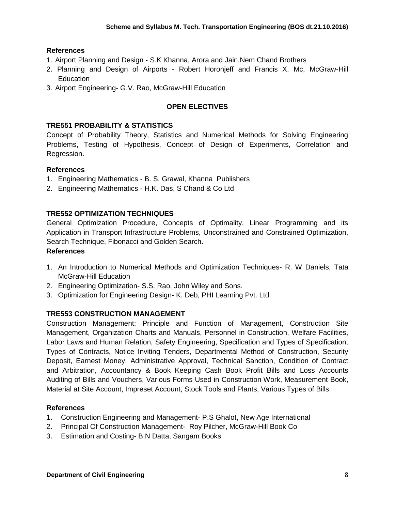### **References**

- 1. Airport Planning and Design S.K Khanna, Arora and Jain,Nem Chand Brothers
- 2. Planning and Design of Airports Robert Horonjeff and Francis X. Mc, McGraw-Hill **Education**
- 3. Airport Engineering- G.V. Rao, McGraw-Hill Education

## **OPEN ELECTIVES**

#### **TRE551 PROBABILITY & STATISTICS**

Concept of Probability Theory, Statistics and Numerical Methods for Solving Engineering Problems, Testing of Hypothesis, Concept of Design of Experiments, Correlation and Regression.

#### **References**

- 1. Engineering Mathematics B. S. Grawal, Khanna Publishers
- 2. Engineering Mathematics H.K. Das, S Chand & Co Ltd

#### **TRE552 OPTIMIZATION TECHNIQUES**

General Optimization Procedure, Concepts of Optimality, Linear Programming and its Application in Transport Infrastructure Problems, Unconstrained and Constrained Optimization, Search Technique, Fibonacci and Golden Search**.**

#### **References**

- 1. An Introduction to Numerical Methods and Optimization Techniques- R. W Daniels, [Tata](http://www.tatamcgrawhill.com/)  [McGraw-Hill Education](http://www.tatamcgrawhill.com/)
- 2. Engineering Optimization- S.S. Rao, John Wiley and Sons.
- 3. Optimization for Engineering Design- K. Deb, PHI Learning Pvt. Ltd.

#### **TRE553 CONSTRUCTION MANAGEMENT**

Construction Management: Principle and Function of Management, Construction Site Management, Organization Charts and Manuals, Personnel in Construction, Welfare Facilities, Labor Laws and Human Relation, Safety Engineering, Specification and Types of Specification, Types of Contracts, Notice Inviting Tenders, Departmental Method of Construction, Security Deposit, Earnest Money, Administrative Approval, Technical Sanction, Condition of Contract and Arbitration, Accountancy & Book Keeping Cash Book Profit Bills and Loss Accounts Auditing of Bills and Vouchers, Various Forms Used in Construction Work, Measurement Book, Material at Site Account, Impreset Account, Stock Tools and Plants, Various Types of Bills

- 1. Construction Engineering and Management- P.S Ghalot, New Age International
- 2. Principal Of Construction Management- Roy Pilcher, McGraw-Hill Book Co
- 3. Estimation and Costing- B.N Datta, Sangam Books